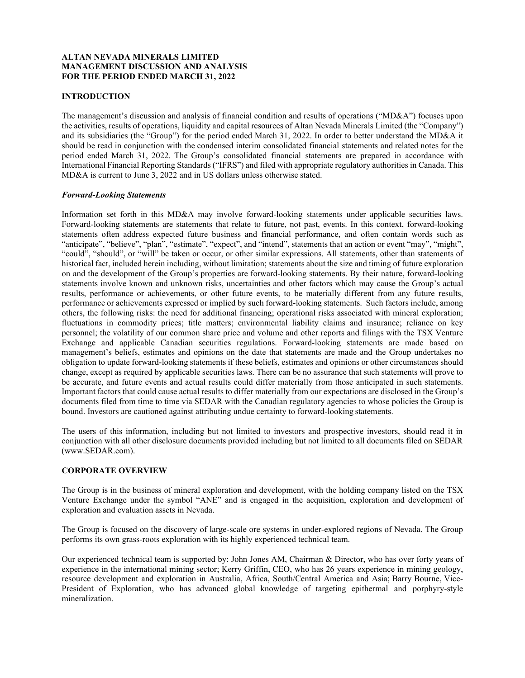# **ALTAN NEVADA MINERALS LIMITED MANAGEMENT DISCUSSION AND ANALYSIS FOR THE PERIOD ENDED MARCH 31, 2022**

# **INTRODUCTION**

The management's discussion and analysis of financial condition and results of operations ("MD&A") focuses upon the activities, results of operations, liquidity and capital resources of Altan Nevada Minerals Limited (the "Company") and its subsidiaries (the "Group") for the period ended March 31, 2022. In order to better understand the MD&A it should be read in conjunction with the condensed interim consolidated financial statements and related notes for the period ended March 31, 2022. The Group's consolidated financial statements are prepared in accordance with International Financial Reporting Standards ("IFRS") and filed with appropriate regulatory authorities in Canada. This MD&A is current to June 3, 2022 and in US dollars unless otherwise stated.

# *Forward-Looking Statements*

Information set forth in this MD&A may involve forward-looking statements under applicable securities laws. Forward-looking statements are statements that relate to future, not past, events. In this context, forward-looking statements often address expected future business and financial performance, and often contain words such as "anticipate", "believe", "plan", "estimate", "expect", and "intend", statements that an action or event "may", "might", "could", "should", or "will" be taken or occur, or other similar expressions. All statements, other than statements of historical fact, included herein including, without limitation; statements about the size and timing of future exploration on and the development of the Group's properties are forward-looking statements. By their nature, forward-looking statements involve known and unknown risks, uncertainties and other factors which may cause the Group's actual results, performance or achievements, or other future events, to be materially different from any future results, performance or achievements expressed or implied by such forward-looking statements. Such factors include, among others, the following risks: the need for additional financing; operational risks associated with mineral exploration; fluctuations in commodity prices; title matters; environmental liability claims and insurance; reliance on key personnel; the volatility of our common share price and volume and other reports and filings with the TSX Venture Exchange and applicable Canadian securities regulations. Forward-looking statements are made based on management's beliefs, estimates and opinions on the date that statements are made and the Group undertakes no obligation to update forward-looking statements if these beliefs, estimates and opinions or other circumstances should change, except as required by applicable securities laws. There can be no assurance that such statements will prove to be accurate, and future events and actual results could differ materially from those anticipated in such statements. Important factors that could cause actual results to differ materially from our expectations are disclosed in the Group's documents filed from time to time via SEDAR with the Canadian regulatory agencies to whose policies the Group is bound. Investors are cautioned against attributing undue certainty to forward-looking statements.

The users of this information, including but not limited to investors and prospective investors, should read it in conjunction with all other disclosure documents provided including but not limited to all documents filed on SEDAR (www.SEDAR.com).

### **CORPORATE OVERVIEW**

The Group is in the business of mineral exploration and development, with the holding company listed on the TSX Venture Exchange under the symbol "ANE" and is engaged in the acquisition, exploration and development of exploration and evaluation assets in Nevada.

The Group is focused on the discovery of large-scale ore systems in under-explored regions of Nevada. The Group performs its own grass-roots exploration with its highly experienced technical team.

Our experienced technical team is supported by: John Jones AM, Chairman & Director, who has over forty years of experience in the international mining sector; Kerry Griffin, CEO, who has 26 years experience in mining geology, resource development and exploration in Australia, Africa, South/Central America and Asia; Barry Bourne, Vice-President of Exploration, who has advanced global knowledge of targeting epithermal and porphyry-style mineralization.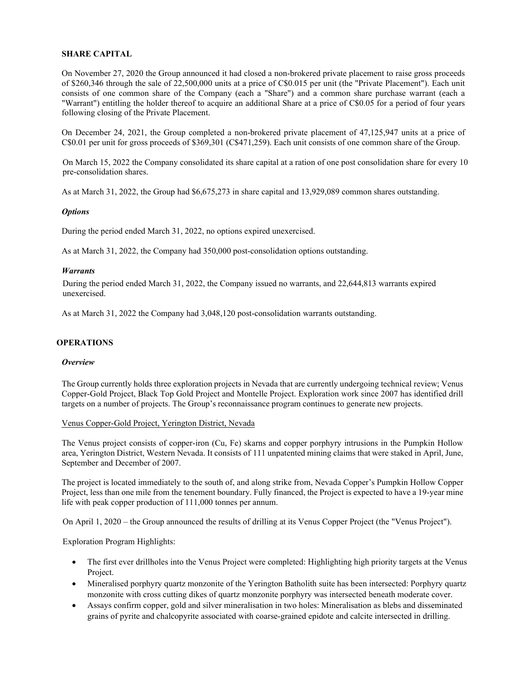# **SHARE CAPITAL**

On November 27, 2020 the Group announced it had closed a non-brokered private placement to raise gross proceeds of \$260,346 through the sale of 22,500,000 units at a price of C\$0.015 per unit (the "Private Placement"). Each unit consists of one common share of the Company (each a "Share") and a common share purchase warrant (each a "Warrant") entitling the holder thereof to acquire an additional Share at a price of C\$0.05 for a period of four years following closing of the Private Placement.

On December 24, 2021, the Group completed a non-brokered private placement of 47,125,947 units at a price of C\$0.01 per unit for gross proceeds of \$369,301 (C\$471,259). Each unit consists of one common share of the Group.

On March 15, 2022 the Company consolidated its share capital at a ration of one post consolidation share for every 10 pre-consolidation shares.

As at March 31, 2022, the Group had \$6,675,273 in share capital and 13,929,089 common shares outstanding.

# *Options*

During the period ended March 31, 2022, no options expired unexercised.

As at March 31, 2022, the Company had 350,000 post-consolidation options outstanding.

# *Warrants*

During the period ended March 31, 2022, the Company issued no warrants, and 22,644,813 warrants expired unexercised.

As at March 31, 2022 the Company had 3,048,120 post-consolidation warrants outstanding.

# **OPERATIONS**

### *Overview*

The Group currently holds three exploration projects in Nevada that are currently undergoing technical review; Venus Copper-Gold Project, Black Top Gold Project and Montelle Project. Exploration work since 2007 has identified drill targets on a number of projects. The Group's reconnaissance program continues to generate new projects.

### Venus Copper-Gold Project, Yerington District, Nevada

The Venus project consists of copper-iron (Cu, Fe) skarns and copper porphyry intrusions in the Pumpkin Hollow area, Yerington District, Western Nevada. It consists of 111 unpatented mining claims that were staked in April, June, September and December of 2007.

The project is located immediately to the south of, and along strike from, Nevada Copper's Pumpkin Hollow Copper Project, less than one mile from the tenement boundary. Fully financed, the Project is expected to have a 19-year mine life with peak copper production of 111,000 tonnes per annum.

On April 1, 2020 – the Group announced the results of drilling at its Venus Copper Project (the "Venus Project").

### Exploration Program Highlights:

- The first ever drillholes into the Venus Project were completed: Highlighting high priority targets at the Venus Project.
- Mineralised porphyry quartz monzonite of the Yerington Batholith suite has been intersected: Porphyry quartz monzonite with cross cutting dikes of quartz monzonite porphyry was intersected beneath moderate cover.
- Assays confirm copper, gold and silver mineralisation in two holes: Mineralisation as blebs and disseminated grains of pyrite and chalcopyrite associated with coarse-grained epidote and calcite intersected in drilling.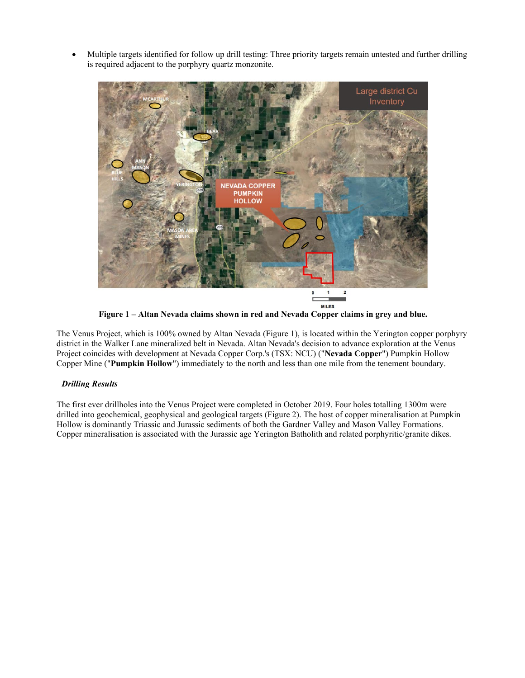• Multiple targets identified for follow up drill testing: Three priority targets remain untested and further drilling is required adjacent to the porphyry quartz monzonite.



**Figure 1 – Altan Nevada claims shown in red and Nevada Copper claims in grey and blue.** 

The Venus Project, which is 100% owned by Altan Nevada (Figure 1), is located within the Yerington copper porphyry district in the Walker Lane mineralized belt in Nevada. Altan Nevada's decision to advance exploration at the Venus Project coincides with development at Nevada Copper Corp.'s (TSX: NCU) ("**Nevada Copper**") Pumpkin Hollow Copper Mine ("**Pumpkin Hollow**") immediately to the north and less than one mile from the tenement boundary.

# *Drilling Results*

The first ever drillholes into the Venus Project were completed in October 2019. Four holes totalling 1300m were drilled into geochemical, geophysical and geological targets (Figure 2). The host of copper mineralisation at Pumpkin Hollow is dominantly Triassic and Jurassic sediments of both the Gardner Valley and Mason Valley Formations. Copper mineralisation is associated with the Jurassic age Yerington Batholith and related porphyritic/granite dikes.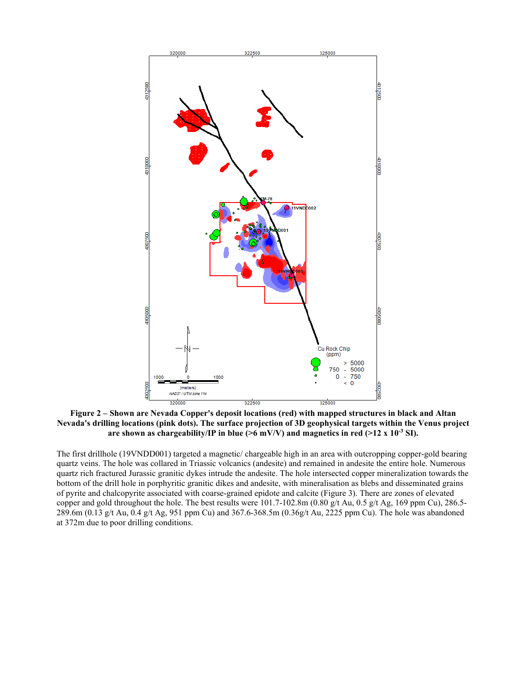

**Figure 2 – Shown are Nevada Copper's deposit locations (red) with mapped structures in black and Altan Nevada's drilling locations (pink dots). The surface projection of 3D geophysical targets within the Venus project**  are shown as chargeability/IP in blue ( $>6$  mV/V) and magnetics in red ( $>12$  x 10<sup>-3</sup> SI).

The first drillhole (19VNDD001) targeted a magnetic/ chargeable high in an area with outcropping copper-gold bearing quartz veins. The hole was collared in Triassic volcanics (andesite) and remained in andesite the entire hole. Numerous quartz rich fractured Jurassic granitic dykes intrude the andesite. The hole intersected copper mineralization towards the bottom of the drill hole in porphyritic granitic dikes and andesite, with mineralisation as blebs and disseminated grains of pyrite and chalcopyrite associated with coarse-grained epidote and calcite (Figure 3). There are zones of elevated copper and gold throughout the hole. The best results were 101.7-102.8m (0.80 g/t Au, 0.5 g/t Ag, 169 ppm Cu), 286.5- 289.6m (0.13 g/t Au, 0.4 g/t Ag, 951 ppm Cu) and 367.6-368.5m (0.36g/t Au, 2225 ppm Cu). The hole was abandoned at 372m due to poor drilling conditions.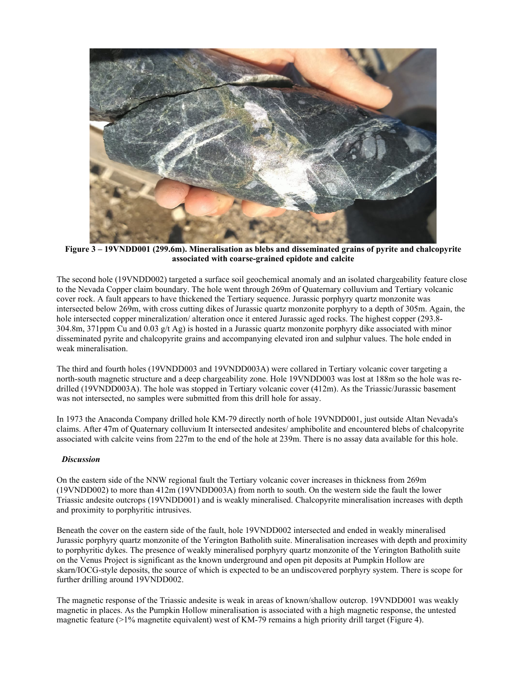

**Figure 3 – 19VNDD001 (299.6m). Mineralisation as blebs and disseminated grains of pyrite and chalcopyrite associated with coarse-grained epidote and calcite**

The second hole (19VNDD002) targeted a surface soil geochemical anomaly and an isolated chargeability feature close to the Nevada Copper claim boundary. The hole went through 269m of Quaternary colluvium and Tertiary volcanic cover rock. A fault appears to have thickened the Tertiary sequence. Jurassic porphyry quartz monzonite was intersected below 269m, with cross cutting dikes of Jurassic quartz monzonite porphyry to a depth of 305m. Again, the hole intersected copper mineralization/ alteration once it entered Jurassic aged rocks. The highest copper (293.8- 304.8m, 371ppm Cu and 0.03 g/t Ag) is hosted in a Jurassic quartz monzonite porphyry dike associated with minor disseminated pyrite and chalcopyrite grains and accompanying elevated iron and sulphur values. The hole ended in weak mineralisation.

The third and fourth holes (19VNDD003 and 19VNDD003A) were collared in Tertiary volcanic cover targeting a north-south magnetic structure and a deep chargeability zone. Hole 19VNDD003 was lost at 188m so the hole was redrilled (19VNDD003A). The hole was stopped in Tertiary volcanic cover (412m). As the Triassic/Jurassic basement was not intersected, no samples were submitted from this drill hole for assay.

In 1973 the Anaconda Company drilled hole KM-79 directly north of hole 19VNDD001, just outside Altan Nevada's claims. After 47m of Quaternary colluvium It intersected andesites/ amphibolite and encountered blebs of chalcopyrite associated with calcite veins from 227m to the end of the hole at 239m. There is no assay data available for this hole.

# *Discussion*

On the eastern side of the NNW regional fault the Tertiary volcanic cover increases in thickness from 269m (19VNDD002) to more than 412m (19VNDD003A) from north to south. On the western side the fault the lower Triassic andesite outcrops (19VNDD001) and is weakly mineralised. Chalcopyrite mineralisation increases with depth and proximity to porphyritic intrusives.

Beneath the cover on the eastern side of the fault, hole 19VNDD002 intersected and ended in weakly mineralised Jurassic porphyry quartz monzonite of the Yerington Batholith suite. Mineralisation increases with depth and proximity to porphyritic dykes. The presence of weakly mineralised porphyry quartz monzonite of the Yerington Batholith suite on the Venus Project is significant as the known underground and open pit deposits at Pumpkin Hollow are skarn/IOCG-style deposits, the source of which is expected to be an undiscovered porphyry system. There is scope for further drilling around 19VNDD002.

The magnetic response of the Triassic andesite is weak in areas of known/shallow outcrop. 19VNDD001 was weakly magnetic in places. As the Pumpkin Hollow mineralisation is associated with a high magnetic response, the untested magnetic feature (>1% magnetite equivalent) west of KM-79 remains a high priority drill target (Figure 4).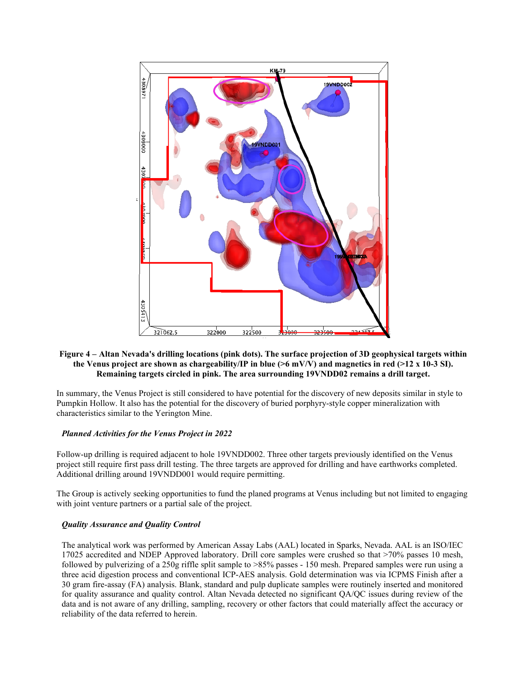

# **Figure 4 – Altan Nevada's drilling locations (pink dots). The surface projection of 3D geophysical targets within**  the Venus project are shown as chargeability/IP in blue  $(>6$  mV/V) and magnetics in red  $(>12 \times 10^{-3}$  SI). **Remaining targets circled in pink. The area surrounding 19VNDD02 remains a drill target.**

In summary, the Venus Project is still considered to have potential for the discovery of new deposits similar in style to Pumpkin Hollow. It also has the potential for the discovery of buried porphyry-style copper mineralization with characteristics similar to the Yerington Mine.

# *Planned Activities for the Venus Project in 2022*

Follow-up drilling is required adjacent to hole 19VNDD002. Three other targets previously identified on the Venus project still require first pass drill testing. The three targets are approved for drilling and have earthworks completed. Additional drilling around 19VNDD001 would require permitting.

The Group is actively seeking opportunities to fund the planed programs at Venus including but not limited to engaging with joint venture partners or a partial sale of the project.

### *Quality Assurance and Quality Control*

The analytical work was performed by American Assay Labs (AAL) located in Sparks, Nevada. AAL is an ISO/IEC 17025 accredited and NDEP Approved laboratory. Drill core samples were crushed so that >70% passes 10 mesh, followed by pulverizing of a 250g riffle split sample to >85% passes - 150 mesh. Prepared samples were run using a three acid digestion process and conventional ICP-AES analysis. Gold determination was via ICPMS Finish after a 30 gram fire-assay (FA) analysis. Blank, standard and pulp duplicate samples were routinely inserted and monitored for quality assurance and quality control. Altan Nevada detected no significant QA/QC issues during review of the data and is not aware of any drilling, sampling, recovery or other factors that could materially affect the accuracy or reliability of the data referred to herein.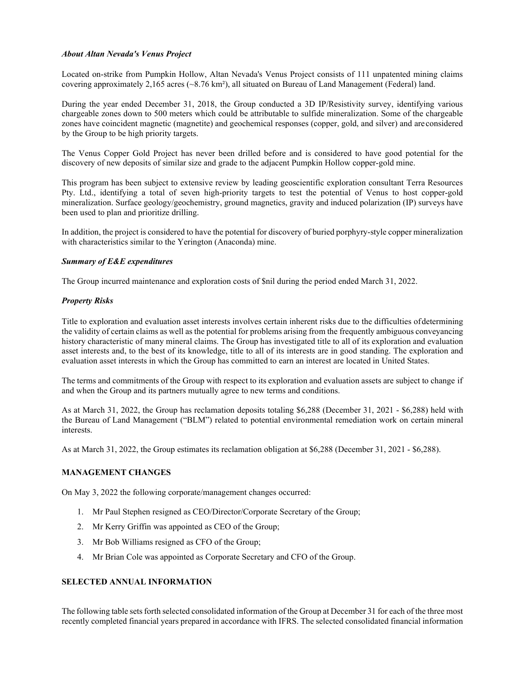# *About Altan Nevada's Venus Project*

Located on-strike from Pumpkin Hollow, Altan Nevada's Venus Project consists of 111 unpatented mining claims covering approximately 2,165 acres (~8.76 km²), all situated on Bureau of Land Management (Federal) land.

During the year ended December 31, 2018, the Group conducted a 3D IP/Resistivity survey, identifying various chargeable zones down to 500 meters which could be attributable to sulfide mineralization. Some of the chargeable zones have coincident magnetic (magnetite) and geochemical responses (copper, gold, and silver) and are considered by the Group to be high priority targets.

The Venus Copper Gold Project has never been drilled before and is considered to have good potential for the discovery of new deposits of similar size and grade to the adjacent Pumpkin Hollow copper-gold mine.

This program has been subject to extensive review by leading geoscientific exploration consultant Terra Resources Pty. Ltd., identifying a total of seven high-priority targets to test the potential of Venus to host copper-gold mineralization. Surface geology/geochemistry, ground magnetics, gravity and induced polarization (IP) surveys have been used to plan and prioritize drilling.

In addition, the project is considered to have the potential for discovery of buried porphyry-style copper mineralization with characteristics similar to the Yerington (Anaconda) mine.

# *Summary of E&E expenditures*

The Group incurred maintenance and exploration costs of \$nil during the period ended March 31, 2022.

# *Property Risks*

Title to exploration and evaluation asset interests involves certain inherent risks due to the difficulties ofdetermining the validity of certain claims as well as the potential for problems arising from the frequently ambiguous conveyancing history characteristic of many mineral claims. The Group has investigated title to all of its exploration and evaluation asset interests and, to the best of its knowledge, title to all of its interests are in good standing. The exploration and evaluation asset interests in which the Group has committed to earn an interest are located in United States.

The terms and commitments of the Group with respect to its exploration and evaluation assets are subject to change if and when the Group and its partners mutually agree to new terms and conditions.

As at March 31, 2022, the Group has reclamation deposits totaling \$6,288 (December 31, 2021 - \$6,288) held with the Bureau of Land Management ("BLM") related to potential environmental remediation work on certain mineral interests.

As at March 31, 2022, the Group estimates its reclamation obligation at \$6,288 (December 31, 2021 - \$6,288).

# **MANAGEMENT CHANGES**

On May 3, 2022 the following corporate/management changes occurred:

- 1. Mr Paul Stephen resigned as CEO/Director/Corporate Secretary of the Group;
- 2. Mr Kerry Griffin was appointed as CEO of the Group;
- 3. Mr Bob Williams resigned as CFO of the Group;
- 4. Mr Brian Cole was appointed as Corporate Secretary and CFO of the Group.

# **SELECTED ANNUAL INFORMATION**

The following table sets forth selected consolidated information of the Group at December 31 for each of the three most recently completed financial years prepared in accordance with IFRS. The selected consolidated financial information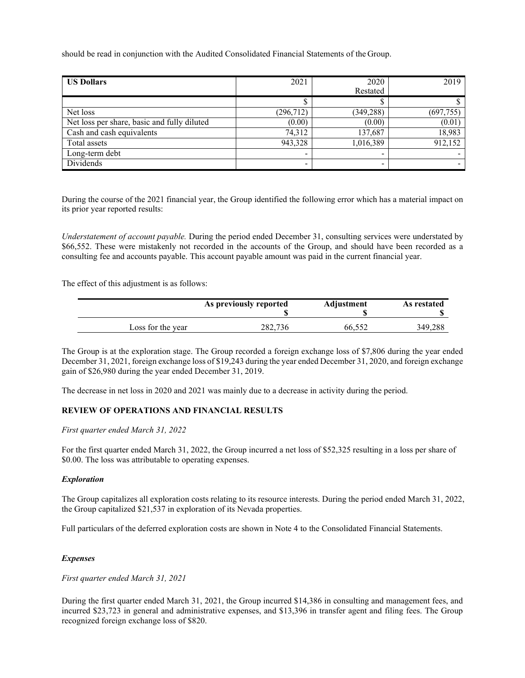should be read in conjunction with the Audited Consolidated Financial Statements of the Group.

| <b>US Dollars</b>                           | 2021       | 2020<br>Restated | 2019       |
|---------------------------------------------|------------|------------------|------------|
|                                             |            |                  |            |
| Net loss                                    | (296, 712) | (349, 288)       | (697, 755) |
| Net loss per share, basic and fully diluted | (0.00)     | (0.00)           | (0.01)     |
| Cash and cash equivalents                   | 74,312     | 137,687          | 18,983     |
| Total assets                                | 943,328    | 1,016,389        | 912,152    |
| Long-term debt                              |            |                  |            |
| Dividends                                   |            |                  |            |

During the course of the 2021 financial year, the Group identified the following error which has a material impact on its prior year reported results:

*Understatement of account payable.* During the period ended December 31, consulting services were understated by \$66,552. These were mistakenly not recorded in the accounts of the Group, and should have been recorded as a consulting fee and accounts payable. This account payable amount was paid in the current financial year.

The effect of this adjustment is as follows:

|                   | As previously reported | Adjustment | As restated |
|-------------------|------------------------|------------|-------------|
| Loss for the year | 282.736                | 66.552     | 349,288     |

The Group is at the exploration stage. The Group recorded a foreign exchange loss of \$7,806 during the year ended December 31, 2021, foreign exchange loss of \$19,243 during the year ended December 31, 2020, and foreign exchange gain of \$26,980 during the year ended December 31, 2019.

The decrease in net loss in 2020 and 2021 was mainly due to a decrease in activity during the period.

### **REVIEW OF OPERATIONS AND FINANCIAL RESULTS**

*First quarter ended March 31, 2022*

For the first quarter ended March 31, 2022, the Group incurred a net loss of \$52,325 resulting in a loss per share of \$0.00. The loss was attributable to operating expenses.

## *Exploration*

The Group capitalizes all exploration costs relating to its resource interests. During the period ended March 31, 2022, the Group capitalized \$21,537 in exploration of its Nevada properties.

Full particulars of the deferred exploration costs are shown in Note 4 to the Consolidated Financial Statements.

### *Expenses*

*First quarter ended March 31, 2021*

During the first quarter ended March 31, 2021, the Group incurred \$14,386 in consulting and management fees, and incurred \$23,723 in general and administrative expenses, and \$13,396 in transfer agent and filing fees. The Group recognized foreign exchange loss of \$820.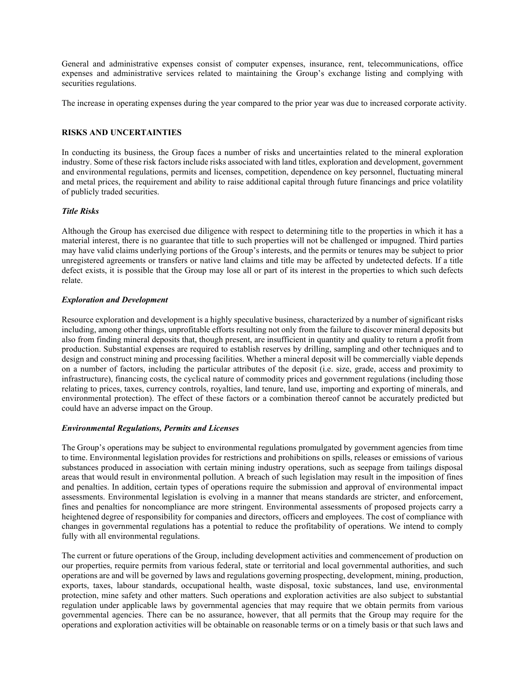General and administrative expenses consist of computer expenses, insurance, rent, telecommunications, office expenses and administrative services related to maintaining the Group's exchange listing and complying with securities regulations.

The increase in operating expenses during the year compared to the prior year was due to increased corporate activity.

### **RISKS AND UNCERTAINTIES**

In conducting its business, the Group faces a number of risks and uncertainties related to the mineral exploration industry. Some of these risk factors include risks associated with land titles, exploration and development, government and environmental regulations, permits and licenses, competition, dependence on key personnel, fluctuating mineral and metal prices, the requirement and ability to raise additional capital through future financings and price volatility of publicly traded securities.

### *Title Risks*

Although the Group has exercised due diligence with respect to determining title to the properties in which it has a material interest, there is no guarantee that title to such properties will not be challenged or impugned. Third parties may have valid claims underlying portions of the Group's interests, and the permits or tenures may be subject to prior unregistered agreements or transfers or native land claims and title may be affected by undetected defects. If a title defect exists, it is possible that the Group may lose all or part of its interest in the properties to which such defects relate.

#### *Exploration and Development*

Resource exploration and development is a highly speculative business, characterized by a number of significant risks including, among other things, unprofitable efforts resulting not only from the failure to discover mineral deposits but also from finding mineral deposits that, though present, are insufficient in quantity and quality to return a profit from production. Substantial expenses are required to establish reserves by drilling, sampling and other techniques and to design and construct mining and processing facilities. Whether a mineral deposit will be commercially viable depends on a number of factors, including the particular attributes of the deposit (i.e. size, grade, access and proximity to infrastructure), financing costs, the cyclical nature of commodity prices and government regulations (including those relating to prices, taxes, currency controls, royalties, land tenure, land use, importing and exporting of minerals, and environmental protection). The effect of these factors or a combination thereof cannot be accurately predicted but could have an adverse impact on the Group.

# *Environmental Regulations, Permits and Licenses*

The Group's operations may be subject to environmental regulations promulgated by government agencies from time to time. Environmental legislation provides for restrictions and prohibitions on spills, releases or emissions of various substances produced in association with certain mining industry operations, such as seepage from tailings disposal areas that would result in environmental pollution. A breach of such legislation may result in the imposition of fines and penalties. In addition, certain types of operations require the submission and approval of environmental impact assessments. Environmental legislation is evolving in a manner that means standards are stricter, and enforcement, fines and penalties for noncompliance are more stringent. Environmental assessments of proposed projects carry a heightened degree of responsibility for companies and directors, officers and employees. The cost of compliance with changes in governmental regulations has a potential to reduce the profitability of operations. We intend to comply fully with all environmental regulations.

The current or future operations of the Group, including development activities and commencement of production on our properties, require permits from various federal, state or territorial and local governmental authorities, and such operations are and will be governed by laws and regulations governing prospecting, development, mining, production, exports, taxes, labour standards, occupational health, waste disposal, toxic substances, land use, environmental protection, mine safety and other matters. Such operations and exploration activities are also subject to substantial regulation under applicable laws by governmental agencies that may require that we obtain permits from various governmental agencies. There can be no assurance, however, that all permits that the Group may require for the operations and exploration activities will be obtainable on reasonable terms or on a timely basis or that such laws and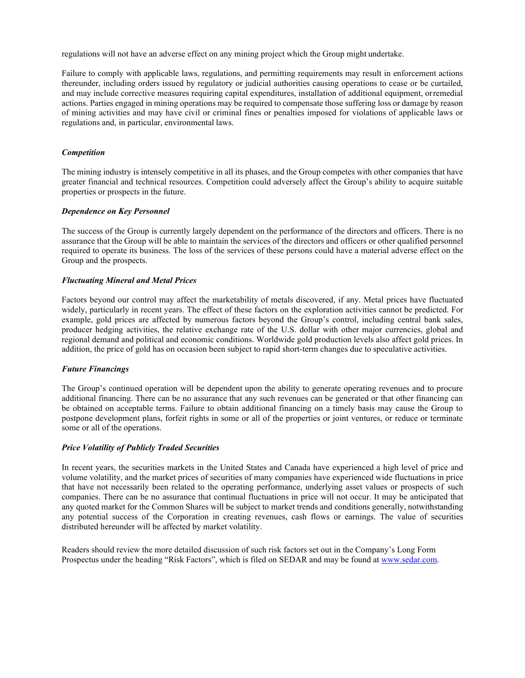regulations will not have an adverse effect on any mining project which the Group might undertake.

Failure to comply with applicable laws, regulations, and permitting requirements may result in enforcement actions thereunder, including orders issued by regulatory or judicial authorities causing operations to cease or be curtailed, and may include corrective measures requiring capital expenditures, installation of additional equipment, orremedial actions. Parties engaged in mining operations may be required to compensate those suffering loss or damage by reason of mining activities and may have civil or criminal fines or penalties imposed for violations of applicable laws or regulations and, in particular, environmental laws.

#### *Competition*

The mining industry is intensely competitive in all its phases, and the Group competes with other companies that have greater financial and technical resources. Competition could adversely affect the Group's ability to acquire suitable properties or prospects in the future.

### *Dependence on Key Personnel*

The success of the Group is currently largely dependent on the performance of the directors and officers. There is no assurance that the Group will be able to maintain the services of the directors and officers or other qualified personnel required to operate its business. The loss of the services of these persons could have a material adverse effect on the Group and the prospects.

### *Fluctuating Mineral and Metal Prices*

Factors beyond our control may affect the marketability of metals discovered, if any. Metal prices have fluctuated widely, particularly in recent years. The effect of these factors on the exploration activities cannot be predicted. For example, gold prices are affected by numerous factors beyond the Group's control, including central bank sales, producer hedging activities, the relative exchange rate of the U.S. dollar with other major currencies, global and regional demand and political and economic conditions. Worldwide gold production levels also affect gold prices. In addition, the price of gold has on occasion been subject to rapid short-term changes due to speculative activities.

#### *Future Financings*

The Group's continued operation will be dependent upon the ability to generate operating revenues and to procure additional financing. There can be no assurance that any such revenues can be generated or that other financing can be obtained on acceptable terms. Failure to obtain additional financing on a timely basis may cause the Group to postpone development plans, forfeit rights in some or all of the properties or joint ventures, or reduce or terminate some or all of the operations.

#### *Price Volatility of Publicly Traded Securities*

In recent years, the securities markets in the United States and Canada have experienced a high level of price and volume volatility, and the market prices of securities of many companies have experienced wide fluctuations in price that have not necessarily been related to the operating performance, underlying asset values or prospects of such companies. There can be no assurance that continual fluctuations in price will not occur. It may be anticipated that any quoted market for the Common Shares will be subject to market trends and conditions generally, notwithstanding any potential success of the Corporation in creating revenues, cash flows or earnings. The value of securities distributed hereunder will be affected by market volatility.

Readers should review the more detailed discussion of such risk factors set out in the Company's Long Form Prospectus under the heading "Risk Factors", which is filed on SEDAR and may be found at [www.sedar.com.](http://www.sedar.com/)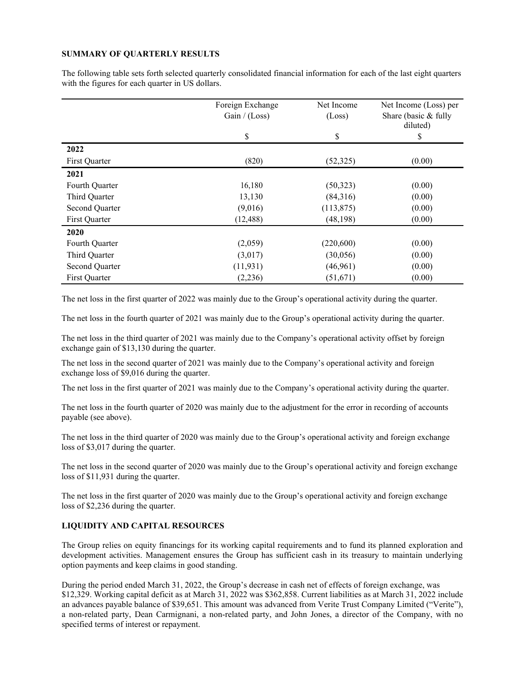# **SUMMARY OF QUARTERLY RESULTS**

The following table sets forth selected quarterly consolidated financial information for each of the last eight quarters with the figures for each quarter in US dollars.

|                | Foreign Exchange<br>Gain / $(Loss)$ | Net Income<br>(Loss) | Net Income (Loss) per<br>Share (basic & fully<br>diluted) |  |
|----------------|-------------------------------------|----------------------|-----------------------------------------------------------|--|
|                | \$                                  | \$                   | \$                                                        |  |
| 2022           |                                     |                      |                                                           |  |
| First Quarter  | (820)                               | (52, 325)            | (0.00)                                                    |  |
| 2021           |                                     |                      |                                                           |  |
| Fourth Quarter | 16,180                              | (50, 323)            | (0.00)                                                    |  |
| Third Quarter  | 13,130                              | (84,316)             | (0.00)                                                    |  |
| Second Quarter | (9,016)                             | (113, 875)           | (0.00)                                                    |  |
| First Quarter  | (12, 488)                           | (48, 198)            | (0.00)                                                    |  |
| 2020           |                                     |                      |                                                           |  |
| Fourth Quarter | (2,059)                             | (220,600)            | (0.00)                                                    |  |
| Third Quarter  | (3,017)                             | (30,056)             | (0.00)                                                    |  |
| Second Quarter | (11, 931)                           | (46,961)             | (0.00)                                                    |  |
| First Quarter  | (2,236)                             | (51, 671)            | (0.00)                                                    |  |

The net loss in the first quarter of 2022 was mainly due to the Group's operational activity during the quarter.

The net loss in the fourth quarter of 2021 was mainly due to the Group's operational activity during the quarter.

The net loss in the third quarter of 2021 was mainly due to the Company's operational activity offset by foreign exchange gain of \$13,130 during the quarter.

The net loss in the second quarter of 2021 was mainly due to the Company's operational activity and foreign exchange loss of \$9,016 during the quarter.

The net loss in the first quarter of 2021 was mainly due to the Company's operational activity during the quarter.

The net loss in the fourth quarter of 2020 was mainly due to the adjustment for the error in recording of accounts payable (see above).

The net loss in the third quarter of 2020 was mainly due to the Group's operational activity and foreign exchange loss of \$3,017 during the quarter.

The net loss in the second quarter of 2020 was mainly due to the Group's operational activity and foreign exchange loss of \$11,931 during the quarter.

The net loss in the first quarter of 2020 was mainly due to the Group's operational activity and foreign exchange loss of \$2,236 during the quarter.

# **LIQUIDITY AND CAPITAL RESOURCES**

The Group relies on equity financings for its working capital requirements and to fund its planned exploration and development activities. Management ensures the Group has sufficient cash in its treasury to maintain underlying option payments and keep claims in good standing.

During the period ended March 31, 2022, the Group's decrease in cash net of effects of foreign exchange, was \$12,329. Working capital deficit as at March 31, 2022 was \$362,858. Current liabilities as at March 31, 2022 include an advances payable balance of \$39,651. This amount was advanced from Verite Trust Company Limited ("Verite"), a non-related party, Dean Carmignani, a non-related party, and John Jones, a director of the Company, with no specified terms of interest or repayment.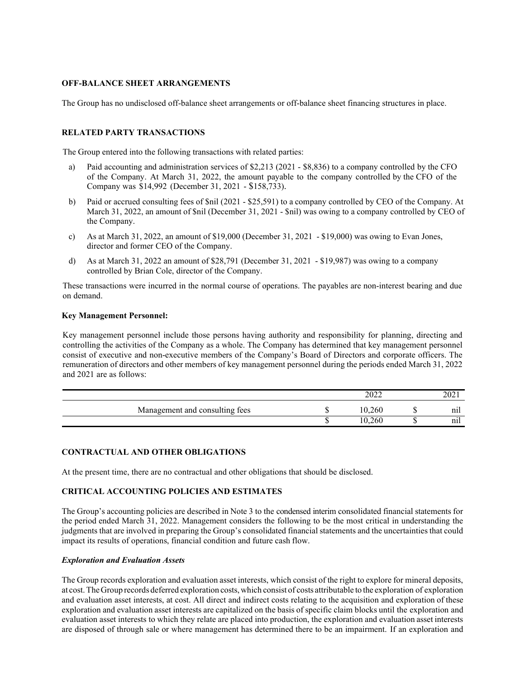### **OFF-BALANCE SHEET ARRANGEMENTS**

The Group has no undisclosed off-balance sheet arrangements or off-balance sheet financing structures in place.

# **RELATED PARTY TRANSACTIONS**

The Group entered into the following transactions with related parties:

- a) Paid accounting and administration services of \$2,213 (2021 \$8,836) to a company controlled by the CFO of the Company. At March 31, 2022, the amount payable to the company controlled by the CFO of the Company was \$14,992 (December 31, 2021 - \$158,733).
- b) Paid or accrued consulting fees of \$nil (2021 \$25,591) to a company controlled by CEO of the Company. At March 31, 2022, an amount of \$nil (December 31, 2021 - \$nil) was owing to a company controlled by CEO of the Company.
- c) As at March 31, 2022, an amount of \$19,000 (December 31, 2021 \$19,000) was owing to Evan Jones, director and former CEO of the Company.
- d) As at March 31, 2022 an amount of \$28,791 (December 31, 2021 \$19,987) was owing to a company controlled by Brian Cole, director of the Company.

These transactions were incurred in the normal course of operations. The payables are non-interest bearing and due on demand.

# **Key Management Personnel:**

Key management personnel include those persons having authority and responsibility for planning, directing and controlling the activities of the Company as a whole. The Company has determined that key management personnel consist of executive and non-executive members of the Company's Board of Directors and corporate officers. The remuneration of directors and other members of key management personnel during the periods ended March 31, 2022 and 2021 are as follows:

|                                | $\mathbf{a}\mathbf{a}\mathbf{a}$ | 202.      |
|--------------------------------|----------------------------------|-----------|
| Management and consulting fees | 10.260                           | n<br>111. |
|                                | 10.260                           | nı        |

# **CONTRACTUAL AND OTHER OBLIGATIONS**

At the present time, there are no contractual and other obligations that should be disclosed.

# **CRITICAL ACCOUNTING POLICIES AND ESTIMATES**

The Group's accounting policies are described in Note 3 to the condensed interim consolidated financial statements for the period ended March 31, 2022. Management considers the following to be the most critical in understanding the judgments that are involved in preparing the Group's consolidated financial statements and the uncertainties that could impact its results of operations, financial condition and future cash flow.

### *Exploration and Evaluation Assets*

The Group records exploration and evaluation asset interests, which consist of the right to explore for mineral deposits, at cost.TheGroup records deferred exploration costs, which consist of costs attributable to the exploration of exploration and evaluation asset interests, at cost. All direct and indirect costs relating to the acquisition and exploration of these exploration and evaluation asset interests are capitalized on the basis of specific claim blocks until the exploration and evaluation asset interests to which they relate are placed into production, the exploration and evaluation asset interests are disposed of through sale or where management has determined there to be an impairment. If an exploration and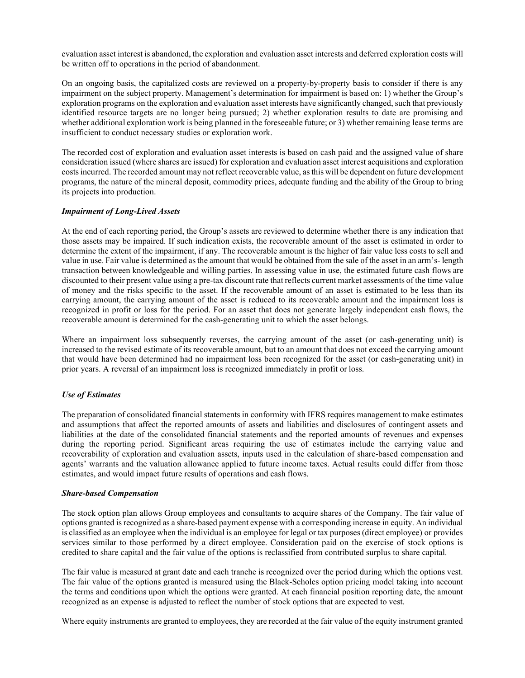evaluation asset interest is abandoned, the exploration and evaluation asset interests and deferred exploration costs will be written off to operations in the period of abandonment.

On an ongoing basis, the capitalized costs are reviewed on a property-by-property basis to consider if there is any impairment on the subject property. Management's determination for impairment is based on: 1) whether the Group's exploration programs on the exploration and evaluation asset interests have significantly changed, such that previously identified resource targets are no longer being pursued; 2) whether exploration results to date are promising and whether additional exploration work is being planned in the foreseeable future; or 3) whether remaining lease terms are insufficient to conduct necessary studies or exploration work.

The recorded cost of exploration and evaluation asset interests is based on cash paid and the assigned value of share consideration issued (where shares are issued) for exploration and evaluation asset interest acquisitions and exploration costsincurred. The recorded amount may not reflect recoverable value, asthis will be dependent on future development programs, the nature of the mineral deposit, commodity prices, adequate funding and the ability of the Group to bring its projects into production.

# *Impairment of Long-Lived Assets*

At the end of each reporting period, the Group's assets are reviewed to determine whether there is any indication that those assets may be impaired. If such indication exists, the recoverable amount of the asset is estimated in order to determine the extent of the impairment, if any. The recoverable amount is the higher of fair value less costs to sell and value in use. Fair value is determined asthe amount that would be obtained from the sale of the asset in an arm's- length transaction between knowledgeable and willing parties. In assessing value in use, the estimated future cash flows are discounted to their present value using a pre-tax discount rate that reflects current market assessments of the time value of money and the risks specific to the asset. If the recoverable amount of an asset is estimated to be less than its carrying amount, the carrying amount of the asset is reduced to its recoverable amount and the impairment loss is recognized in profit or loss for the period. For an asset that does not generate largely independent cash flows, the recoverable amount is determined for the cash-generating unit to which the asset belongs.

Where an impairment loss subsequently reverses, the carrying amount of the asset (or cash-generating unit) is increased to the revised estimate of its recoverable amount, but to an amount that does not exceed the carrying amount that would have been determined had no impairment loss been recognized for the asset (or cash-generating unit) in prior years. A reversal of an impairment loss is recognized immediately in profit or loss.

# *Use of Estimates*

The preparation of consolidated financial statements in conformity with IFRS requires management to make estimates and assumptions that affect the reported amounts of assets and liabilities and disclosures of contingent assets and liabilities at the date of the consolidated financial statements and the reported amounts of revenues and expenses during the reporting period. Significant areas requiring the use of estimates include the carrying value and recoverability of exploration and evaluation assets, inputs used in the calculation of share-based compensation and agents' warrants and the valuation allowance applied to future income taxes. Actual results could differ from those estimates, and would impact future results of operations and cash flows.

### *Share-based Compensation*

The stock option plan allows Group employees and consultants to acquire shares of the Company. The fair value of options granted is recognized as a share-based payment expense with a corresponding increase in equity. An individual is classified as an employee when the individual is an employee for legal or tax purposes(direct employee) or provides services similar to those performed by a direct employee. Consideration paid on the exercise of stock options is credited to share capital and the fair value of the options is reclassified from contributed surplus to share capital.

The fair value is measured at grant date and each tranche is recognized over the period during which the options vest. The fair value of the options granted is measured using the Black-Scholes option pricing model taking into account the terms and conditions upon which the options were granted. At each financial position reporting date, the amount recognized as an expense is adjusted to reflect the number of stock options that are expected to vest.

Where equity instruments are granted to employees, they are recorded at the fair value of the equity instrument granted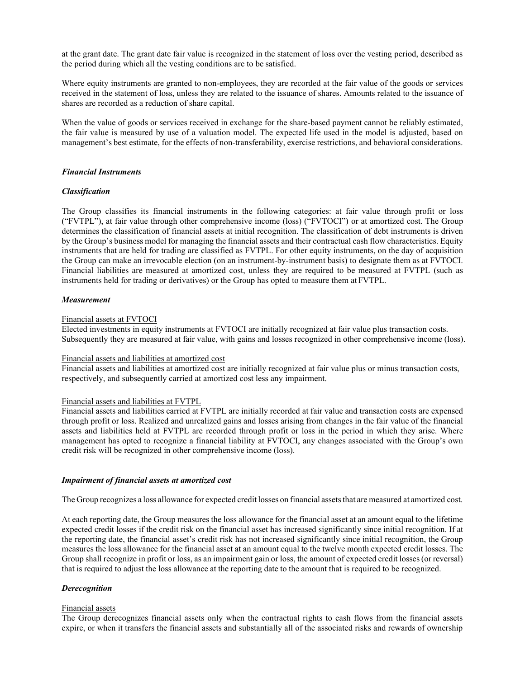at the grant date. The grant date fair value is recognized in the statement of loss over the vesting period, described as the period during which all the vesting conditions are to be satisfied.

Where equity instruments are granted to non-employees, they are recorded at the fair value of the goods or services received in the statement of loss, unless they are related to the issuance of shares. Amounts related to the issuance of shares are recorded as a reduction of share capital.

When the value of goods or services received in exchange for the share-based payment cannot be reliably estimated, the fair value is measured by use of a valuation model. The expected life used in the model is adjusted, based on management's best estimate, for the effects of non-transferability, exercise restrictions, and behavioral considerations.

### *Financial Instruments*

# *Classification*

The Group classifies its financial instruments in the following categories: at fair value through profit or loss ("FVTPL"), at fair value through other comprehensive income (loss) ("FVTOCI") or at amortized cost. The Group determines the classification of financial assets at initial recognition. The classification of debt instruments is driven by the Group's business model for managing the financial assets and their contractual cash flow characteristics. Equity instruments that are held for trading are classified as FVTPL. For other equity instruments, on the day of acquisition the Group can make an irrevocable election (on an instrument-by-instrument basis) to designate them as at FVTOCI. Financial liabilities are measured at amortized cost, unless they are required to be measured at FVTPL (such as instruments held for trading or derivatives) or the Group has opted to measure them at FVTPL.

# *Measurement*

### Financial assets at FVTOCI

Elected investments in equity instruments at FVTOCI are initially recognized at fair value plus transaction costs. Subsequently they are measured at fair value, with gains and losses recognized in other comprehensive income (loss).

### Financial assets and liabilities at amortized cost

Financial assets and liabilities at amortized cost are initially recognized at fair value plus or minus transaction costs, respectively, and subsequently carried at amortized cost less any impairment.

### Financial assets and liabilities at FVTPL

Financial assets and liabilities carried at FVTPL are initially recorded at fair value and transaction costs are expensed through profit or loss. Realized and unrealized gains and losses arising from changes in the fair value of the financial assets and liabilities held at FVTPL are recorded through profit or loss in the period in which they arise. Where management has opted to recognize a financial liability at FVTOCI, any changes associated with the Group's own credit risk will be recognized in other comprehensive income (loss).

## *Impairment of financial assets at amortized cost*

The Group recognizes a loss allowance for expected credit losses on financial assets that are measured at amortized cost.

At each reporting date, the Group measures the loss allowance for the financial asset at an amount equal to the lifetime expected credit losses if the credit risk on the financial asset has increased significantly since initial recognition. If at the reporting date, the financial asset's credit risk has not increased significantly since initial recognition, the Group measures the loss allowance for the financial asset at an amount equal to the twelve month expected credit losses. The Group shall recognize in profit or loss, as an impairment gain or loss, the amount of expected credit losses(or reversal) that is required to adjust the loss allowance at the reporting date to the amount that is required to be recognized.

# *Derecognition*

### Financial assets

The Group derecognizes financial assets only when the contractual rights to cash flows from the financial assets expire, or when it transfers the financial assets and substantially all of the associated risks and rewards of ownership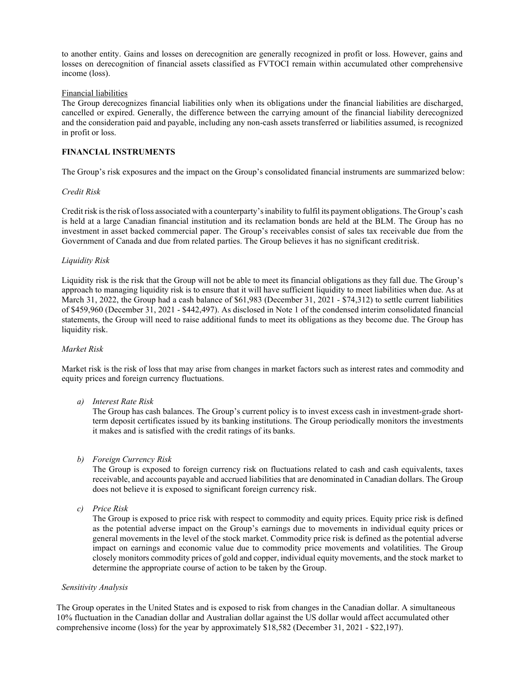to another entity. Gains and losses on derecognition are generally recognized in profit or loss. However, gains and losses on derecognition of financial assets classified as FVTOCI remain within accumulated other comprehensive income (loss).

# Financial liabilities

The Group derecognizes financial liabilities only when its obligations under the financial liabilities are discharged, cancelled or expired. Generally, the difference between the carrying amount of the financial liability derecognized and the consideration paid and payable, including any non-cash assets transferred or liabilities assumed, is recognized in profit or loss.

# **FINANCIAL INSTRUMENTS**

The Group's risk exposures and the impact on the Group's consolidated financial instruments are summarized below:

# *Credit Risk*

Credit risk isthe risk ofloss associated with a counterparty'sinability to fulfil its payment obligations. The Group's cash is held at a large Canadian financial institution and its reclamation bonds are held at the BLM. The Group has no investment in asset backed commercial paper. The Group's receivables consist of sales tax receivable due from the Government of Canada and due from related parties. The Group believes it has no significant creditrisk.

# *Liquidity Risk*

Liquidity risk is the risk that the Group will not be able to meet its financial obligations as they fall due. The Group's approach to managing liquidity risk is to ensure that it will have sufficient liquidity to meet liabilities when due. As at March 31, 2022, the Group had a cash balance of \$61,983 (December 31, 2021 - \$74,312) to settle current liabilities of \$459,960 (December 31, 2021 - \$442,497). As disclosed in Note 1 of the condensed interim consolidated financial statements, the Group will need to raise additional funds to meet its obligations as they become due. The Group has liquidity risk.

### *Market Risk*

Market risk is the risk of loss that may arise from changes in market factors such as interest rates and commodity and equity prices and foreign currency fluctuations.

*a) Interest Rate Risk*

The Group has cash balances. The Group's current policy is to invest excess cash in investment-grade shortterm deposit certificates issued by its banking institutions. The Group periodically monitors the investments it makes and is satisfied with the credit ratings of its banks.

*b) Foreign Currency Risk*

The Group is exposed to foreign currency risk on fluctuations related to cash and cash equivalents, taxes receivable, and accounts payable and accrued liabilities that are denominated in Canadian dollars. The Group does not believe it is exposed to significant foreign currency risk.

*c) Price Risk*

The Group is exposed to price risk with respect to commodity and equity prices. Equity price risk is defined as the potential adverse impact on the Group's earnings due to movements in individual equity prices or general movements in the level of the stock market. Commodity price risk is defined as the potential adverse impact on earnings and economic value due to commodity price movements and volatilities. The Group closely monitors commodity prices of gold and copper, individual equity movements, and the stock market to determine the appropriate course of action to be taken by the Group.

### *Sensitivity Analysis*

The Group operates in the United States and is exposed to risk from changes in the Canadian dollar. A simultaneous 10% fluctuation in the Canadian dollar and Australian dollar against the US dollar would affect accumulated other comprehensive income (loss) for the year by approximately \$18,582 (December 31, 2021 - \$22,197).